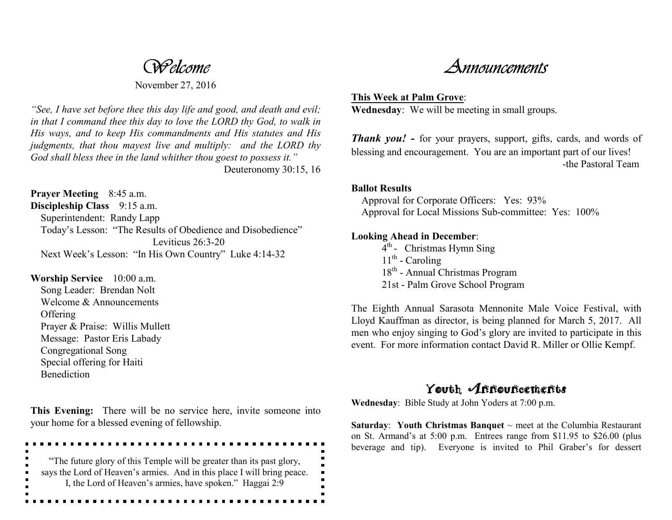*Welcome*

November 27, 2016

*"See, I have set before thee this day life and good, and death and evil; in that I command thee this day to love the LORD thy God, to walk in His ways, and to keep His commandments and His statutes and His judgments, that thou mayest live and multiply: and the LORD thy God shall bless thee in the land whither thou goest to possess it."* Deuteronomy 30:15, 16

**Prayer Meeting** 8:45 a.m. **Discipleship Class** 9:15 a.m. Superintendent: Randy Lapp Today's Lesson: "The Results of Obedience and Disobedience" Leviticus 26:3-20 Next Week's Lesson: "In His Own Country" Luke 4:14-32

**Worship Service** 10:00 a.m. Song Leader: Brendan Nolt Welcome & Announcements **Offering**  Prayer & Praise: Willis Mullett Message: Pastor Eris Labady Congregational Song Special offering for Haiti **Benediction** 

**This Evening:** There will be no service here, invite someone into your home for a blessed evening of fellowship.

"The future glory of this Temple will be greater than its past glory, says the Lord of Heaven's armies. And in this place I will bring peace. I, the Lord of Heaven's armies, have spoken." Haggai 2:9

. . . . . . . . . . . . . . . . .

*Announcements*

**This Week at Palm Grove**: **Wednesday**: We will be meeting in small groups.

**Thank you! -** for your prayers, support, gifts, cards, and words of blessing and encouragement. You are an important part of our lives! -the Pastoral Team

## **Ballot Results**

 Approval for Corporate Officers: Yes: 93% Approval for Local Missions Sub-committee: Yes: 100%

## **Looking Ahead in December**:

 $4<sup>th</sup>$  - Christmas Hymn Sing  $11^{th}$  - Caroling 18<sup>th</sup> - Annual Christmas Program 21st - Palm Grove School Program

The Eighth Annual Sarasota Mennonite Male Voice Festival, with Lloyd Kauffman as director, is being planned for March 5, 2017. All men who enjoy singing to God's glory are invited to participate in this event. For more information contact David R. Miller or Ollie Kempf.

## Youth Announcements

**Wednesday**: Bible Study at John Yoders at 7:00 p.m.

**Saturday**: **Youth Christmas Banquet** ~ meet at the Columbia Restaurant on St. Armand's at 5:00 p.m. Entrees range from \$11.95 to \$26.00 (plus beverage and tip). Everyone is invited to Phil Graber's for dessert